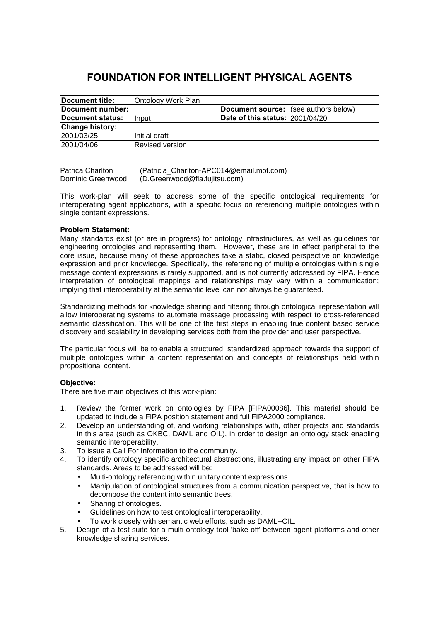# **FOUNDATION FOR INTELLIGENT PHYSICAL AGENTS**

| Document title:          | <b>Ontology Work Plan</b> |                                        |  |
|--------------------------|---------------------------|----------------------------------------|--|
| Document number:         |                           | Document source: (see authors below)   |  |
| <b>IDocument status:</b> | <b>Ilnput</b>             | <b>Date of this status: 2001/04/20</b> |  |
| <b>Change history:</b>   |                           |                                        |  |
| 2001/03/25               | Initial draft             |                                        |  |
| 2001/04/06               | <b>IRevised version</b>   |                                        |  |

Patrica Charlton (Patricia\_Charlton-APC014@email.mot.com) Dominic Greenwood (D.Greenwood@fla.fujitsu.com)

This work-plan will seek to address some of the specific ontological requirements for interoperating agent applications, with a specific focus on referencing multiple ontologies within single content expressions.

# **Problem Statement:**

Many standards exist (or are in progress) for ontology infrastructures, as well as guidelines for engineering ontologies and representing them. However, these are in effect peripheral to the core issue, because many of these approaches take a static, closed perspective on knowledge expression and prior knowledge. Specifically, the referencing of multiple ontologies within single message content expressions is rarely supported, and is not currently addressed by FIPA. Hence interpretation of ontological mappings and relationships may vary within a communication; implying that interoperability at the semantic level can not always be guaranteed.

Standardizing methods for knowledge sharing and filtering through ontological representation will allow interoperating systems to automate message processing with respect to cross-referenced semantic classification. This will be one of the first steps in enabling true content based service discovery and scalability in developing services both from the provider and user perspective.

The particular focus will be to enable a structured, standardized approach towards the support of multiple ontologies within a content representation and concepts of relationships held within propositional content.

# **Objective:**

There are five main objectives of this work-plan:

- 1. Review the former work on ontologies by FIPA [FIPA00086]. This material should be updated to include a FIPA position statement and full FIPA2000 compliance.
- 2. Develop an understanding of, and working relationships with, other projects and standards in this area (such as OKBC, DAML and OIL), in order to design an ontology stack enabling semantic interoperability.
- 3. To issue a Call For Information to the community.
- 4. To identify ontology specific architectural abstractions, illustrating any impact on other FIPA standards. Areas to be addressed will be:
	- Multi-ontology referencing within unitary content expressions.
	- Manipulation of ontological structures from a communication perspective, that is how to decompose the content into semantic trees.
	- Sharing of ontologies.
	- Guidelines on how to test ontological interoperability.
	- To work closely with semantic web efforts, such as DAML+OIL.
- 5. Design of a test suite for a multi-ontology tool 'bake-off' between agent platforms and other knowledge sharing services.